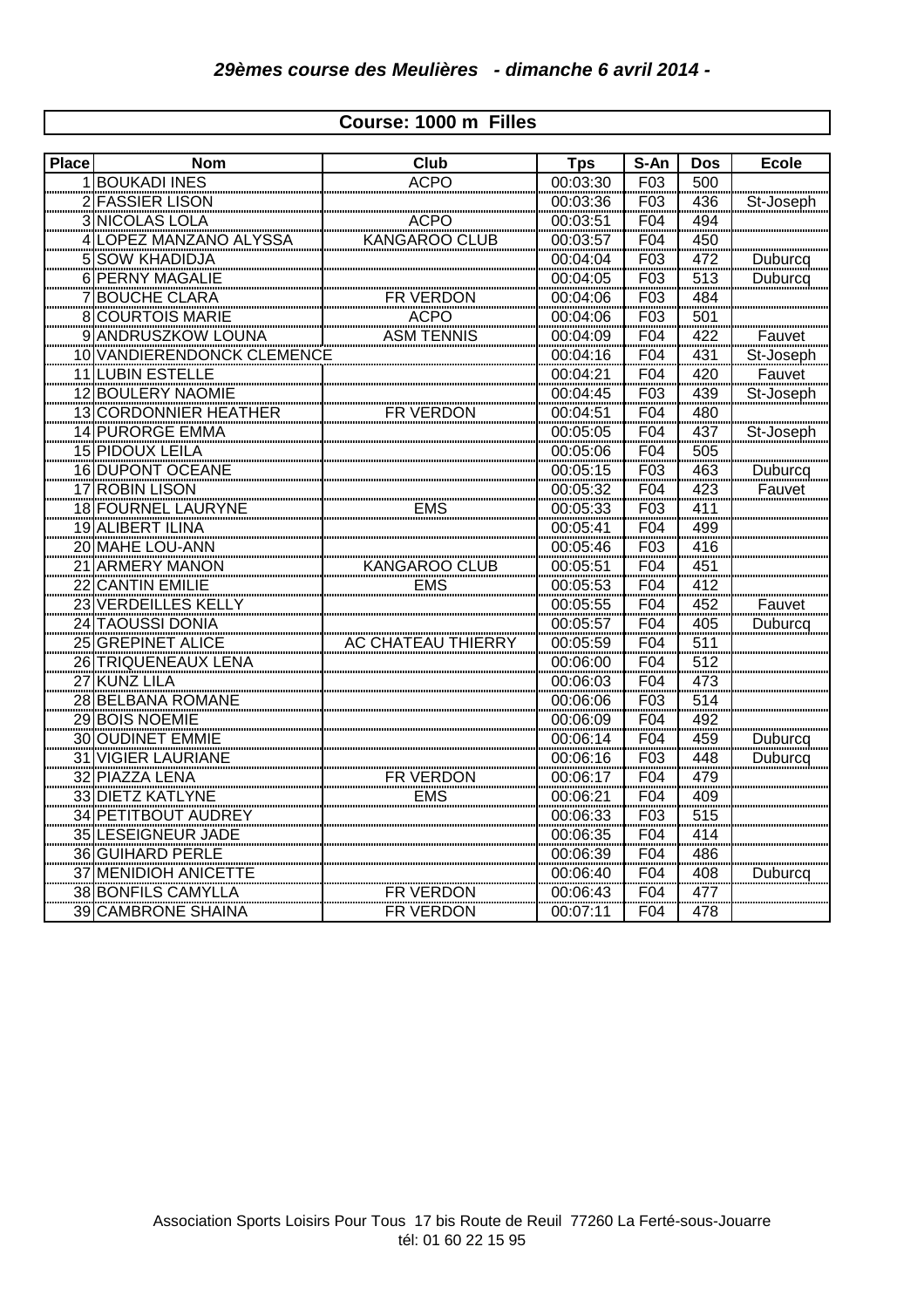## **Course: 1000 m Filles**

| <b>Place</b> | <b>Nom</b>                                               | Club                      | <b>Tps</b> | S-An            | <b>Dos</b>        | <b>Ecole</b>   |
|--------------|----------------------------------------------------------|---------------------------|------------|-----------------|-------------------|----------------|
|              | <b>BOUKADI INES</b>                                      | <b>ACPO</b>               | 00:03:30   | F03             | 500               |                |
|              | 2 FASSIER LISON                                          |                           | 00:03:36   | F03             | 436               | St-Joseph      |
|              | 3 NICOLAS LOLA                                           | <b>ACPO</b>               | 00:03:51   | F04             | 494               |                |
|              | 4 LOPEZ MANZANO ALYSSA                                   | <b>KANGAROO CLUB</b>      | 00:03:57   | F04             | 450               |                |
|              | 5 SOW KHADIDJA                                           |                           | 00:04:04   | F03             | 472               | Duburcq        |
|              | 6 PERNY MAGALIE                                          |                           | 00:04:05   | F03             | 513               | Duburcq        |
|              | <b>BOUCHE CLARA</b>                                      | FR VERDON                 | 00:04:06   | F03             | 484               |                |
|              | <b>8 COURTOIS MARIE</b>                                  | <b>ACPO</b>               | 00:04:06   | F <sub>03</sub> | 501               |                |
|              | 9 ANDRUSZKOW LOUNA                                       | <b>ASM TENNIS</b>         | 00:04:09   | F04             | 422               | Fauvet         |
|              | <b>10 VANDIERENDONCK CLEMENCE</b>                        |                           | 00:04:16   | F04             | 431               | St-Joseph      |
|              | <b>11 LUBIN ESTELLE</b>                                  |                           | 00:04:21   | F04             | 420               | Fauvet         |
|              | <b>12 BOULERY NAOMIE</b>                                 |                           | 00:04:45   | F <sub>03</sub> | 439               | St-Joseph      |
|              | 13 CORDONNIER HEATHER                                    | FR VERDON                 | 00:04:51   | F04             | 480               |                |
|              | 14 PURORGE EMMA                                          |                           | 00:05:05   | F04             | 437               | St-Joseph      |
|              | 15 PIDOUX LEILA                                          |                           | 00:05:06   | F04             | 505               |                |
|              | 16 DUPONT OCEANE                                         |                           | 00:05:15   | F <sub>03</sub> | 463               | Duburcq        |
|              | <u>17 ROBIN LISON</u>                                    |                           | 00:05:32   | F04             | 423               | Fauvet         |
|              | 18 FOURNEL LAURYNE                                       | EMS                       | 00:05:33   | F03<br>F04      | 411               |                |
|              | 19 ALIBERT ILINA                                         |                           | 00:05:41   |                 | --<br>499         |                |
|              | 20 MAHE LOU-ANN                                          |                           | 00:05:46   | F <sub>03</sub> | 416               |                |
|              | 21 ARMERY MANON                                          | KANGAROO CLUB             | 00:05:51   | F04             | 451               |                |
|              | 22 CANTIN EMILIE                                         | <b>EMS</b>                | 00:05:53   | F04             | 412               |                |
|              | 23 VERDEILLES KELLY<br>24 TAQUSSI DONIA                  |                           | 00:05:55   | F04             | 452               | Fauvet         |
|              |                                                          |                           | 00:05:57   | F04<br>F04      | 405               | Duburcq        |
|              | 25 GREPINET ALICE                                        | <b>AC CHATEAU THIERRY</b> | 00:05:59   |                 | $\frac{511}{2}$   |                |
|              | 26 TRIQUENEAUX LENA                                      |                           | 00:06:00   | F04             | 512               |                |
|              | 27 KUNZ LILA                                             |                           | 00:06:03   | F04             | $rac{1}{473}$     |                |
|              | <b>28 BELBANA ROMANE</b>                                 |                           | 00:06:06   | F <sub>03</sub> | 514               |                |
|              | 29 BOIS NOEMIE                                           |                           | 00:06:09   | F04             | 492               |                |
|              | 30 OUDINET EMMIE                                         |                           | 00:06:14   | F04             | 459               | Duburcq        |
|              |                                                          |                           | 00:06:16   | F03             | 448               | <b>Duburcq</b> |
|              |                                                          | FR VERDON<br>EMS          | 00:06:17   | F04<br>F04      |                   |                |
|              | 31 VIGIER LAURIANE<br>32 PIAZZA LENA<br>33 DIETZ KATLYNE |                           | 00:06:21   |                 | $\frac{479}{409}$ |                |
|              | 34 PETITBOUT AUDREY                                      |                           | 00:06:33   | F <sub>03</sub> | 515               |                |
|              | <b>35 LESEIGNEUR JADE</b>                                |                           | 00:06:35   | F04             | 414               |                |
|              | <b>36 GUIHARD PERLE</b>                                  |                           | 00:06:39   | F04             | 486               |                |
|              | 37 MENIDIOH ANICETTE                                     |                           | 00:06:40   | F04             | 408               | Duburcq        |
|              | 38 BONFILS CAMYLLA                                       | FR VERDON                 | 00:06:43   | F04             | 477               |                |
|              | <b>39 CAMBRONE SHAINA</b>                                | FR VERDON                 | 00:07:11   | F <sub>04</sub> | 478               |                |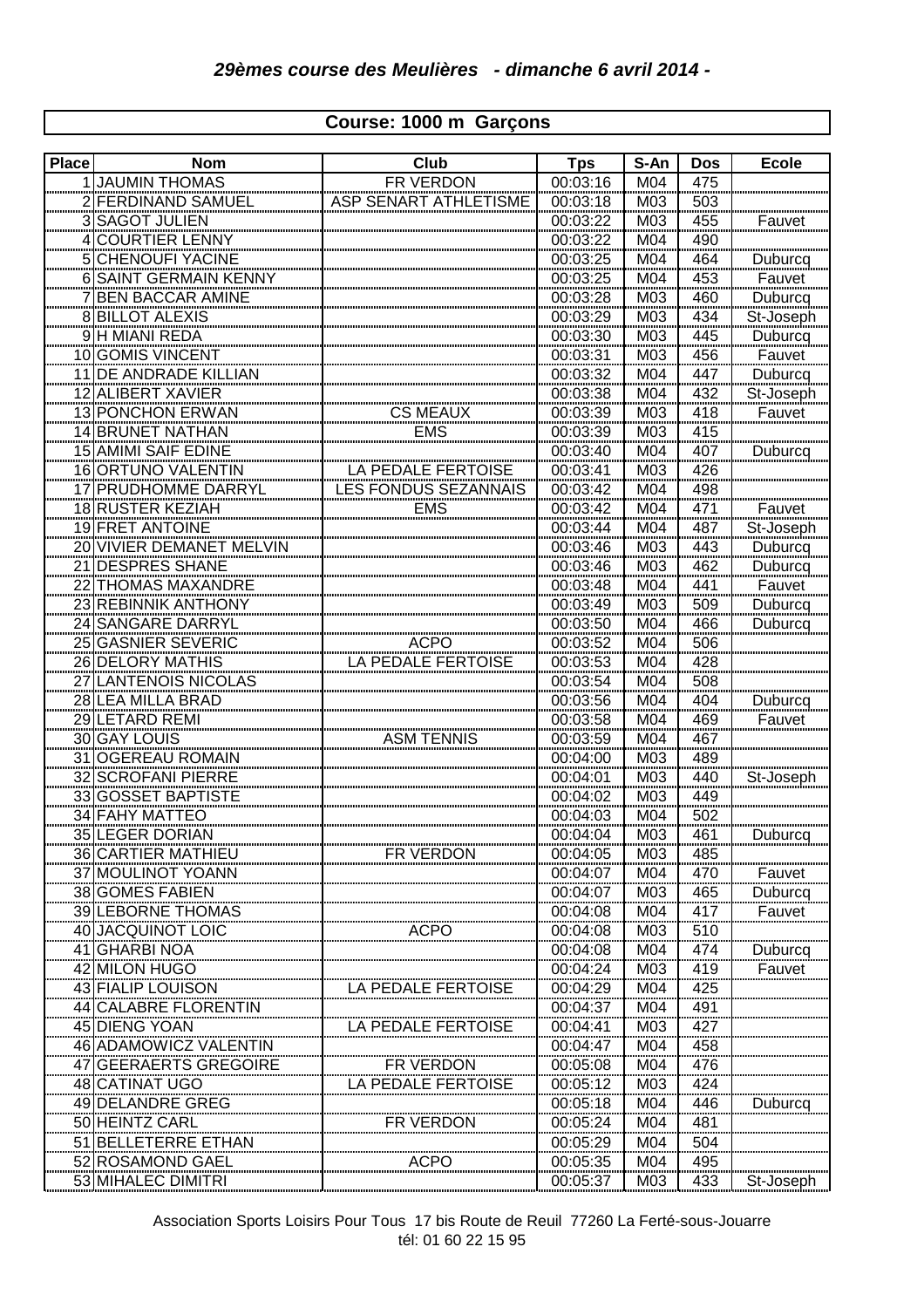## **Course: 1000 m Garçons**

| FR VERDON<br><b>JAUMIN THOMAS</b><br>00:03:16<br>M04<br>475<br><b>ASP SENART ATHLETISME</b><br><b>FERDINAND SAMUEL</b><br>00:03:18<br>M03<br>503<br><b>SAGOT JULIEN</b><br>00:03:22<br>455<br>M03<br>Fauvet<br>3<br>490<br><b>COURTIER LENNY</b><br>00:03:22<br>M <sub>04</sub><br><b>CHENOUFI YACINE</b><br>00:03:25<br>M04<br>464<br>Duburcq<br>5<br>00:03:25<br>6 SAINT GERMAIN KENNY<br>M04<br>453<br>Fauvet<br><b>BEN BACCAR AMINE</b><br>00:03:28<br>Duburcq<br>460<br>M03<br><b>BILLOT ALEXIS</b><br>00:03:29<br>434<br>M03<br>St-Joseph<br>H MIANI REDA<br>M03<br>445<br>00:03:30<br>Duburcq<br><b>GOMIS VINCENT</b><br>00:03:31<br>M03<br>456<br>Fauvet<br>10<br>DE ANDRADE KILLIAN<br>00:03:32<br>Duburcq<br>M04<br>447<br>11<br><b>ALIBERT XAVIER</b><br>00:03:38<br>M04<br>432<br>St-Joseph<br>12<br><b>CS MEAUX</b><br>13 PONCHON ERWAN<br>00:03:39<br>418<br>M03<br>Fauvet<br>14 BRUNET NATHAN<br><b>EMS</b><br>00:03:39<br>M03<br>415<br><b>15 AMIMI SAIF EDINE</b><br>00:03:40<br>M04<br>407<br>Duburcq<br>16 ORTUNO VALENTIN<br>LA PEDALE FERTOISE<br>00:03:41<br>M03<br>426<br>LES FONDUS SEZANNAIS<br><b>PRUDHOMME DARRYL</b><br>00:03:42<br>M04<br>498<br>18 RUSTER KEZIAH<br><b>EMS</b><br>00:03:42<br>M <sub>04</sub><br>471<br>Fauvet<br>19 FRET ANTOINE<br>00:03:44<br>M <sub>04</sub><br>487<br>St-Joseph<br>Duburcq<br>Duburcq<br>Fauvet<br>Duburcq<br>Duburcq<br>VIVIER DEMANET MELVIN<br>$\frac{11}{443}$<br>462<br>M <sub>03</sub><br>00:03:46<br>20<br>DESPRES SHANE<br>$\frac{00:03:46}{00:03:46}$ $\frac{00:03:48}{00:03:50}$ $\frac{00:03:50}{00:03:50}$<br>M <sub>03</sub><br>21<br>$\frac{1}{1004}$<br>THOMAS MAXANDRE<br>441<br>22<br>REBINNIK ANTHONY<br>M03<br>23<br>509<br>$\overline{24}$<br>466<br>M04<br>Duburcq<br>GASNIER SEVERIC<br><br>ACPO<br>LA PEDALE FERTOISE<br>00:03:52<br>M <sub>04</sub><br>25<br>506<br>DELORY MATHIS<br>00:03:53<br>M04<br>428<br>26<br>00:03:54<br>508<br>27<br>M04<br>Duburcq<br>00:03:56<br>M04<br>404<br>28<br><br>LETARD REMI<br>M04<br>469<br>29<br>00:03:58<br>Fauvet<br><br>ASM TENNIS<br>30 GAY LOUIS<br>00:03:59<br>M04<br>467<br><b>OGEREAU ROMAIN</b><br>00:04:00<br>M03<br>489<br>$\frac{31}{2}$<br><b>SCROFANI PIERRE</b><br>00:04:01<br>M03<br>440<br>St-Joseph<br>32<br>33 GOSSET BAPTISTE<br>00:04:02<br>M03<br>449<br>34 FAHY MATTEO<br>00:04:03<br>M04<br>502<br>35 LEGER DORIAN<br>00:04:04<br>M03<br>461<br>Duburcq<br>36 CARTIER MATHIEU<br><b>FR VERDON</b><br>M03<br>00:04:05<br>485<br>37 MOULINOT YOANN<br>470<br>00:04:07<br>M04<br>Fauvet<br>38 GOMES FABIEN<br>465<br>00:04:07<br>M03<br>Duburcq<br>39 LEBORNE THOMAS<br>417<br>00:04:08<br>M04<br>Fauvet<br>40 JACQUINOT LOIC<br><b>ACPO</b><br>510<br>00:04:08<br>M03<br><b>GHARBI NOA</b><br>474<br>00:04:08<br>M04<br>Duburcq<br>41<br>42 MILON HUGO<br>419<br>M03<br>00:04:24<br>Fauvet<br>43 FIALIP LOUISON<br>LA PEDALE FERTOISE<br>00:04:29<br>M04<br>425<br><b>CALABRE FLORENTIN</b><br>00:04:37<br>M04<br><u>491</u><br>44<br>45 DIENG YOAN<br>LA PEDALE FERTOISE<br>M03<br>427<br>00:04:41<br>46 ADAMOWICZ VALENTIN<br>00:04:47<br>M04<br>458<br>FR VERDON<br>47 GEERAERTS GREGOIRE<br>00:05:08<br>M04<br>476<br>48 CATINAT UGO<br>LA PEDALE FERTOISE<br>00:05:12<br>M03<br>424<br>49 DELANDRE GREG<br>M04<br>446<br>00:05:18<br>Duburcq<br><u>50 HEINTZ CARL</u><br>00:05:24<br>481<br>M04<br>FR VERDON<br><b>BELLETERRE ETHAN</b><br>00:05:29<br>M04<br>504<br>51<br>52 ROSAMOND GAEL<br>00:05:35<br>495<br>M04<br>ACPO<br>53 MIHALEC DIMITRI | <b>Place</b> | <b>Nom</b> | Club | <b>Tps</b> | S-An | <b>Dos</b> | <b>Ecole</b> |
|-----------------------------------------------------------------------------------------------------------------------------------------------------------------------------------------------------------------------------------------------------------------------------------------------------------------------------------------------------------------------------------------------------------------------------------------------------------------------------------------------------------------------------------------------------------------------------------------------------------------------------------------------------------------------------------------------------------------------------------------------------------------------------------------------------------------------------------------------------------------------------------------------------------------------------------------------------------------------------------------------------------------------------------------------------------------------------------------------------------------------------------------------------------------------------------------------------------------------------------------------------------------------------------------------------------------------------------------------------------------------------------------------------------------------------------------------------------------------------------------------------------------------------------------------------------------------------------------------------------------------------------------------------------------------------------------------------------------------------------------------------------------------------------------------------------------------------------------------------------------------------------------------------------------------------------------------------------------------------------------------------------------------------------------------------------------------------------------------------------------------------------------------------------------------------------------------------------------------------------------------------------------------------------------------------------------------------------------------------------------------------------------------------------------------------------------------------------------------------------------------------------------------------------------------------------------------------------------------------------------------------------------------------------------------------------------------------------------------------------------------------------------------------------------------------------------------------------------------------------------------------------------------------------------------------------------------------------------------------------------------------------------------------------------------------------------------------------------------------------------------------------------------------------------------------------------------------------------------------------------------------------------------------------------------------------------------------------------------------------------------------------------------------------------------------------------------------------------------------------------------------------------|--------------|------------|------|------------|------|------------|--------------|
|                                                                                                                                                                                                                                                                                                                                                                                                                                                                                                                                                                                                                                                                                                                                                                                                                                                                                                                                                                                                                                                                                                                                                                                                                                                                                                                                                                                                                                                                                                                                                                                                                                                                                                                                                                                                                                                                                                                                                                                                                                                                                                                                                                                                                                                                                                                                                                                                                                                                                                                                                                                                                                                                                                                                                                                                                                                                                                                                                                                                                                                                                                                                                                                                                                                                                                                                                                                                                                                                                                                 |              |            |      |            |      |            |              |
|                                                                                                                                                                                                                                                                                                                                                                                                                                                                                                                                                                                                                                                                                                                                                                                                                                                                                                                                                                                                                                                                                                                                                                                                                                                                                                                                                                                                                                                                                                                                                                                                                                                                                                                                                                                                                                                                                                                                                                                                                                                                                                                                                                                                                                                                                                                                                                                                                                                                                                                                                                                                                                                                                                                                                                                                                                                                                                                                                                                                                                                                                                                                                                                                                                                                                                                                                                                                                                                                                                                 |              |            |      |            |      |            |              |
|                                                                                                                                                                                                                                                                                                                                                                                                                                                                                                                                                                                                                                                                                                                                                                                                                                                                                                                                                                                                                                                                                                                                                                                                                                                                                                                                                                                                                                                                                                                                                                                                                                                                                                                                                                                                                                                                                                                                                                                                                                                                                                                                                                                                                                                                                                                                                                                                                                                                                                                                                                                                                                                                                                                                                                                                                                                                                                                                                                                                                                                                                                                                                                                                                                                                                                                                                                                                                                                                                                                 |              |            |      |            |      |            |              |
|                                                                                                                                                                                                                                                                                                                                                                                                                                                                                                                                                                                                                                                                                                                                                                                                                                                                                                                                                                                                                                                                                                                                                                                                                                                                                                                                                                                                                                                                                                                                                                                                                                                                                                                                                                                                                                                                                                                                                                                                                                                                                                                                                                                                                                                                                                                                                                                                                                                                                                                                                                                                                                                                                                                                                                                                                                                                                                                                                                                                                                                                                                                                                                                                                                                                                                                                                                                                                                                                                                                 |              |            |      |            |      |            |              |
|                                                                                                                                                                                                                                                                                                                                                                                                                                                                                                                                                                                                                                                                                                                                                                                                                                                                                                                                                                                                                                                                                                                                                                                                                                                                                                                                                                                                                                                                                                                                                                                                                                                                                                                                                                                                                                                                                                                                                                                                                                                                                                                                                                                                                                                                                                                                                                                                                                                                                                                                                                                                                                                                                                                                                                                                                                                                                                                                                                                                                                                                                                                                                                                                                                                                                                                                                                                                                                                                                                                 |              |            |      |            |      |            |              |
|                                                                                                                                                                                                                                                                                                                                                                                                                                                                                                                                                                                                                                                                                                                                                                                                                                                                                                                                                                                                                                                                                                                                                                                                                                                                                                                                                                                                                                                                                                                                                                                                                                                                                                                                                                                                                                                                                                                                                                                                                                                                                                                                                                                                                                                                                                                                                                                                                                                                                                                                                                                                                                                                                                                                                                                                                                                                                                                                                                                                                                                                                                                                                                                                                                                                                                                                                                                                                                                                                                                 |              |            |      |            |      |            |              |
|                                                                                                                                                                                                                                                                                                                                                                                                                                                                                                                                                                                                                                                                                                                                                                                                                                                                                                                                                                                                                                                                                                                                                                                                                                                                                                                                                                                                                                                                                                                                                                                                                                                                                                                                                                                                                                                                                                                                                                                                                                                                                                                                                                                                                                                                                                                                                                                                                                                                                                                                                                                                                                                                                                                                                                                                                                                                                                                                                                                                                                                                                                                                                                                                                                                                                                                                                                                                                                                                                                                 |              |            |      |            |      |            |              |
|                                                                                                                                                                                                                                                                                                                                                                                                                                                                                                                                                                                                                                                                                                                                                                                                                                                                                                                                                                                                                                                                                                                                                                                                                                                                                                                                                                                                                                                                                                                                                                                                                                                                                                                                                                                                                                                                                                                                                                                                                                                                                                                                                                                                                                                                                                                                                                                                                                                                                                                                                                                                                                                                                                                                                                                                                                                                                                                                                                                                                                                                                                                                                                                                                                                                                                                                                                                                                                                                                                                 |              |            |      |            |      |            |              |
|                                                                                                                                                                                                                                                                                                                                                                                                                                                                                                                                                                                                                                                                                                                                                                                                                                                                                                                                                                                                                                                                                                                                                                                                                                                                                                                                                                                                                                                                                                                                                                                                                                                                                                                                                                                                                                                                                                                                                                                                                                                                                                                                                                                                                                                                                                                                                                                                                                                                                                                                                                                                                                                                                                                                                                                                                                                                                                                                                                                                                                                                                                                                                                                                                                                                                                                                                                                                                                                                                                                 |              |            |      |            |      |            |              |
|                                                                                                                                                                                                                                                                                                                                                                                                                                                                                                                                                                                                                                                                                                                                                                                                                                                                                                                                                                                                                                                                                                                                                                                                                                                                                                                                                                                                                                                                                                                                                                                                                                                                                                                                                                                                                                                                                                                                                                                                                                                                                                                                                                                                                                                                                                                                                                                                                                                                                                                                                                                                                                                                                                                                                                                                                                                                                                                                                                                                                                                                                                                                                                                                                                                                                                                                                                                                                                                                                                                 |              |            |      |            |      |            |              |
|                                                                                                                                                                                                                                                                                                                                                                                                                                                                                                                                                                                                                                                                                                                                                                                                                                                                                                                                                                                                                                                                                                                                                                                                                                                                                                                                                                                                                                                                                                                                                                                                                                                                                                                                                                                                                                                                                                                                                                                                                                                                                                                                                                                                                                                                                                                                                                                                                                                                                                                                                                                                                                                                                                                                                                                                                                                                                                                                                                                                                                                                                                                                                                                                                                                                                                                                                                                                                                                                                                                 |              |            |      |            |      |            |              |
|                                                                                                                                                                                                                                                                                                                                                                                                                                                                                                                                                                                                                                                                                                                                                                                                                                                                                                                                                                                                                                                                                                                                                                                                                                                                                                                                                                                                                                                                                                                                                                                                                                                                                                                                                                                                                                                                                                                                                                                                                                                                                                                                                                                                                                                                                                                                                                                                                                                                                                                                                                                                                                                                                                                                                                                                                                                                                                                                                                                                                                                                                                                                                                                                                                                                                                                                                                                                                                                                                                                 |              |            |      |            |      |            |              |
|                                                                                                                                                                                                                                                                                                                                                                                                                                                                                                                                                                                                                                                                                                                                                                                                                                                                                                                                                                                                                                                                                                                                                                                                                                                                                                                                                                                                                                                                                                                                                                                                                                                                                                                                                                                                                                                                                                                                                                                                                                                                                                                                                                                                                                                                                                                                                                                                                                                                                                                                                                                                                                                                                                                                                                                                                                                                                                                                                                                                                                                                                                                                                                                                                                                                                                                                                                                                                                                                                                                 |              |            |      |            |      |            |              |
|                                                                                                                                                                                                                                                                                                                                                                                                                                                                                                                                                                                                                                                                                                                                                                                                                                                                                                                                                                                                                                                                                                                                                                                                                                                                                                                                                                                                                                                                                                                                                                                                                                                                                                                                                                                                                                                                                                                                                                                                                                                                                                                                                                                                                                                                                                                                                                                                                                                                                                                                                                                                                                                                                                                                                                                                                                                                                                                                                                                                                                                                                                                                                                                                                                                                                                                                                                                                                                                                                                                 |              |            |      |            |      |            |              |
|                                                                                                                                                                                                                                                                                                                                                                                                                                                                                                                                                                                                                                                                                                                                                                                                                                                                                                                                                                                                                                                                                                                                                                                                                                                                                                                                                                                                                                                                                                                                                                                                                                                                                                                                                                                                                                                                                                                                                                                                                                                                                                                                                                                                                                                                                                                                                                                                                                                                                                                                                                                                                                                                                                                                                                                                                                                                                                                                                                                                                                                                                                                                                                                                                                                                                                                                                                                                                                                                                                                 |              |            |      |            |      |            |              |
|                                                                                                                                                                                                                                                                                                                                                                                                                                                                                                                                                                                                                                                                                                                                                                                                                                                                                                                                                                                                                                                                                                                                                                                                                                                                                                                                                                                                                                                                                                                                                                                                                                                                                                                                                                                                                                                                                                                                                                                                                                                                                                                                                                                                                                                                                                                                                                                                                                                                                                                                                                                                                                                                                                                                                                                                                                                                                                                                                                                                                                                                                                                                                                                                                                                                                                                                                                                                                                                                                                                 |              |            |      |            |      |            |              |
|                                                                                                                                                                                                                                                                                                                                                                                                                                                                                                                                                                                                                                                                                                                                                                                                                                                                                                                                                                                                                                                                                                                                                                                                                                                                                                                                                                                                                                                                                                                                                                                                                                                                                                                                                                                                                                                                                                                                                                                                                                                                                                                                                                                                                                                                                                                                                                                                                                                                                                                                                                                                                                                                                                                                                                                                                                                                                                                                                                                                                                                                                                                                                                                                                                                                                                                                                                                                                                                                                                                 |              |            |      |            |      |            |              |
|                                                                                                                                                                                                                                                                                                                                                                                                                                                                                                                                                                                                                                                                                                                                                                                                                                                                                                                                                                                                                                                                                                                                                                                                                                                                                                                                                                                                                                                                                                                                                                                                                                                                                                                                                                                                                                                                                                                                                                                                                                                                                                                                                                                                                                                                                                                                                                                                                                                                                                                                                                                                                                                                                                                                                                                                                                                                                                                                                                                                                                                                                                                                                                                                                                                                                                                                                                                                                                                                                                                 |              |            |      |            |      |            |              |
|                                                                                                                                                                                                                                                                                                                                                                                                                                                                                                                                                                                                                                                                                                                                                                                                                                                                                                                                                                                                                                                                                                                                                                                                                                                                                                                                                                                                                                                                                                                                                                                                                                                                                                                                                                                                                                                                                                                                                                                                                                                                                                                                                                                                                                                                                                                                                                                                                                                                                                                                                                                                                                                                                                                                                                                                                                                                                                                                                                                                                                                                                                                                                                                                                                                                                                                                                                                                                                                                                                                 |              |            |      |            |      |            |              |
|                                                                                                                                                                                                                                                                                                                                                                                                                                                                                                                                                                                                                                                                                                                                                                                                                                                                                                                                                                                                                                                                                                                                                                                                                                                                                                                                                                                                                                                                                                                                                                                                                                                                                                                                                                                                                                                                                                                                                                                                                                                                                                                                                                                                                                                                                                                                                                                                                                                                                                                                                                                                                                                                                                                                                                                                                                                                                                                                                                                                                                                                                                                                                                                                                                                                                                                                                                                                                                                                                                                 |              |            |      |            |      |            |              |
|                                                                                                                                                                                                                                                                                                                                                                                                                                                                                                                                                                                                                                                                                                                                                                                                                                                                                                                                                                                                                                                                                                                                                                                                                                                                                                                                                                                                                                                                                                                                                                                                                                                                                                                                                                                                                                                                                                                                                                                                                                                                                                                                                                                                                                                                                                                                                                                                                                                                                                                                                                                                                                                                                                                                                                                                                                                                                                                                                                                                                                                                                                                                                                                                                                                                                                                                                                                                                                                                                                                 |              |            |      |            |      |            |              |
|                                                                                                                                                                                                                                                                                                                                                                                                                                                                                                                                                                                                                                                                                                                                                                                                                                                                                                                                                                                                                                                                                                                                                                                                                                                                                                                                                                                                                                                                                                                                                                                                                                                                                                                                                                                                                                                                                                                                                                                                                                                                                                                                                                                                                                                                                                                                                                                                                                                                                                                                                                                                                                                                                                                                                                                                                                                                                                                                                                                                                                                                                                                                                                                                                                                                                                                                                                                                                                                                                                                 |              |            |      |            |      |            |              |
|                                                                                                                                                                                                                                                                                                                                                                                                                                                                                                                                                                                                                                                                                                                                                                                                                                                                                                                                                                                                                                                                                                                                                                                                                                                                                                                                                                                                                                                                                                                                                                                                                                                                                                                                                                                                                                                                                                                                                                                                                                                                                                                                                                                                                                                                                                                                                                                                                                                                                                                                                                                                                                                                                                                                                                                                                                                                                                                                                                                                                                                                                                                                                                                                                                                                                                                                                                                                                                                                                                                 |              |            |      |            |      |            |              |
|                                                                                                                                                                                                                                                                                                                                                                                                                                                                                                                                                                                                                                                                                                                                                                                                                                                                                                                                                                                                                                                                                                                                                                                                                                                                                                                                                                                                                                                                                                                                                                                                                                                                                                                                                                                                                                                                                                                                                                                                                                                                                                                                                                                                                                                                                                                                                                                                                                                                                                                                                                                                                                                                                                                                                                                                                                                                                                                                                                                                                                                                                                                                                                                                                                                                                                                                                                                                                                                                                                                 |              |            |      |            |      |            |              |
|                                                                                                                                                                                                                                                                                                                                                                                                                                                                                                                                                                                                                                                                                                                                                                                                                                                                                                                                                                                                                                                                                                                                                                                                                                                                                                                                                                                                                                                                                                                                                                                                                                                                                                                                                                                                                                                                                                                                                                                                                                                                                                                                                                                                                                                                                                                                                                                                                                                                                                                                                                                                                                                                                                                                                                                                                                                                                                                                                                                                                                                                                                                                                                                                                                                                                                                                                                                                                                                                                                                 |              |            |      |            |      |            |              |
|                                                                                                                                                                                                                                                                                                                                                                                                                                                                                                                                                                                                                                                                                                                                                                                                                                                                                                                                                                                                                                                                                                                                                                                                                                                                                                                                                                                                                                                                                                                                                                                                                                                                                                                                                                                                                                                                                                                                                                                                                                                                                                                                                                                                                                                                                                                                                                                                                                                                                                                                                                                                                                                                                                                                                                                                                                                                                                                                                                                                                                                                                                                                                                                                                                                                                                                                                                                                                                                                                                                 |              |            |      |            |      |            |              |
|                                                                                                                                                                                                                                                                                                                                                                                                                                                                                                                                                                                                                                                                                                                                                                                                                                                                                                                                                                                                                                                                                                                                                                                                                                                                                                                                                                                                                                                                                                                                                                                                                                                                                                                                                                                                                                                                                                                                                                                                                                                                                                                                                                                                                                                                                                                                                                                                                                                                                                                                                                                                                                                                                                                                                                                                                                                                                                                                                                                                                                                                                                                                                                                                                                                                                                                                                                                                                                                                                                                 |              |            |      |            |      |            |              |
|                                                                                                                                                                                                                                                                                                                                                                                                                                                                                                                                                                                                                                                                                                                                                                                                                                                                                                                                                                                                                                                                                                                                                                                                                                                                                                                                                                                                                                                                                                                                                                                                                                                                                                                                                                                                                                                                                                                                                                                                                                                                                                                                                                                                                                                                                                                                                                                                                                                                                                                                                                                                                                                                                                                                                                                                                                                                                                                                                                                                                                                                                                                                                                                                                                                                                                                                                                                                                                                                                                                 |              |            |      |            |      |            |              |
|                                                                                                                                                                                                                                                                                                                                                                                                                                                                                                                                                                                                                                                                                                                                                                                                                                                                                                                                                                                                                                                                                                                                                                                                                                                                                                                                                                                                                                                                                                                                                                                                                                                                                                                                                                                                                                                                                                                                                                                                                                                                                                                                                                                                                                                                                                                                                                                                                                                                                                                                                                                                                                                                                                                                                                                                                                                                                                                                                                                                                                                                                                                                                                                                                                                                                                                                                                                                                                                                                                                 |              |            |      |            |      |            |              |
|                                                                                                                                                                                                                                                                                                                                                                                                                                                                                                                                                                                                                                                                                                                                                                                                                                                                                                                                                                                                                                                                                                                                                                                                                                                                                                                                                                                                                                                                                                                                                                                                                                                                                                                                                                                                                                                                                                                                                                                                                                                                                                                                                                                                                                                                                                                                                                                                                                                                                                                                                                                                                                                                                                                                                                                                                                                                                                                                                                                                                                                                                                                                                                                                                                                                                                                                                                                                                                                                                                                 |              |            |      |            |      |            |              |
|                                                                                                                                                                                                                                                                                                                                                                                                                                                                                                                                                                                                                                                                                                                                                                                                                                                                                                                                                                                                                                                                                                                                                                                                                                                                                                                                                                                                                                                                                                                                                                                                                                                                                                                                                                                                                                                                                                                                                                                                                                                                                                                                                                                                                                                                                                                                                                                                                                                                                                                                                                                                                                                                                                                                                                                                                                                                                                                                                                                                                                                                                                                                                                                                                                                                                                                                                                                                                                                                                                                 |              |            |      |            |      |            |              |
|                                                                                                                                                                                                                                                                                                                                                                                                                                                                                                                                                                                                                                                                                                                                                                                                                                                                                                                                                                                                                                                                                                                                                                                                                                                                                                                                                                                                                                                                                                                                                                                                                                                                                                                                                                                                                                                                                                                                                                                                                                                                                                                                                                                                                                                                                                                                                                                                                                                                                                                                                                                                                                                                                                                                                                                                                                                                                                                                                                                                                                                                                                                                                                                                                                                                                                                                                                                                                                                                                                                 |              |            |      |            |      |            |              |
|                                                                                                                                                                                                                                                                                                                                                                                                                                                                                                                                                                                                                                                                                                                                                                                                                                                                                                                                                                                                                                                                                                                                                                                                                                                                                                                                                                                                                                                                                                                                                                                                                                                                                                                                                                                                                                                                                                                                                                                                                                                                                                                                                                                                                                                                                                                                                                                                                                                                                                                                                                                                                                                                                                                                                                                                                                                                                                                                                                                                                                                                                                                                                                                                                                                                                                                                                                                                                                                                                                                 |              |            |      |            |      |            |              |
|                                                                                                                                                                                                                                                                                                                                                                                                                                                                                                                                                                                                                                                                                                                                                                                                                                                                                                                                                                                                                                                                                                                                                                                                                                                                                                                                                                                                                                                                                                                                                                                                                                                                                                                                                                                                                                                                                                                                                                                                                                                                                                                                                                                                                                                                                                                                                                                                                                                                                                                                                                                                                                                                                                                                                                                                                                                                                                                                                                                                                                                                                                                                                                                                                                                                                                                                                                                                                                                                                                                 |              |            |      |            |      |            |              |
|                                                                                                                                                                                                                                                                                                                                                                                                                                                                                                                                                                                                                                                                                                                                                                                                                                                                                                                                                                                                                                                                                                                                                                                                                                                                                                                                                                                                                                                                                                                                                                                                                                                                                                                                                                                                                                                                                                                                                                                                                                                                                                                                                                                                                                                                                                                                                                                                                                                                                                                                                                                                                                                                                                                                                                                                                                                                                                                                                                                                                                                                                                                                                                                                                                                                                                                                                                                                                                                                                                                 |              |            |      |            |      |            |              |
|                                                                                                                                                                                                                                                                                                                                                                                                                                                                                                                                                                                                                                                                                                                                                                                                                                                                                                                                                                                                                                                                                                                                                                                                                                                                                                                                                                                                                                                                                                                                                                                                                                                                                                                                                                                                                                                                                                                                                                                                                                                                                                                                                                                                                                                                                                                                                                                                                                                                                                                                                                                                                                                                                                                                                                                                                                                                                                                                                                                                                                                                                                                                                                                                                                                                                                                                                                                                                                                                                                                 |              |            |      |            |      |            |              |
|                                                                                                                                                                                                                                                                                                                                                                                                                                                                                                                                                                                                                                                                                                                                                                                                                                                                                                                                                                                                                                                                                                                                                                                                                                                                                                                                                                                                                                                                                                                                                                                                                                                                                                                                                                                                                                                                                                                                                                                                                                                                                                                                                                                                                                                                                                                                                                                                                                                                                                                                                                                                                                                                                                                                                                                                                                                                                                                                                                                                                                                                                                                                                                                                                                                                                                                                                                                                                                                                                                                 |              |            |      |            |      |            |              |
|                                                                                                                                                                                                                                                                                                                                                                                                                                                                                                                                                                                                                                                                                                                                                                                                                                                                                                                                                                                                                                                                                                                                                                                                                                                                                                                                                                                                                                                                                                                                                                                                                                                                                                                                                                                                                                                                                                                                                                                                                                                                                                                                                                                                                                                                                                                                                                                                                                                                                                                                                                                                                                                                                                                                                                                                                                                                                                                                                                                                                                                                                                                                                                                                                                                                                                                                                                                                                                                                                                                 |              |            |      |            |      |            |              |
|                                                                                                                                                                                                                                                                                                                                                                                                                                                                                                                                                                                                                                                                                                                                                                                                                                                                                                                                                                                                                                                                                                                                                                                                                                                                                                                                                                                                                                                                                                                                                                                                                                                                                                                                                                                                                                                                                                                                                                                                                                                                                                                                                                                                                                                                                                                                                                                                                                                                                                                                                                                                                                                                                                                                                                                                                                                                                                                                                                                                                                                                                                                                                                                                                                                                                                                                                                                                                                                                                                                 |              |            |      |            |      |            |              |
|                                                                                                                                                                                                                                                                                                                                                                                                                                                                                                                                                                                                                                                                                                                                                                                                                                                                                                                                                                                                                                                                                                                                                                                                                                                                                                                                                                                                                                                                                                                                                                                                                                                                                                                                                                                                                                                                                                                                                                                                                                                                                                                                                                                                                                                                                                                                                                                                                                                                                                                                                                                                                                                                                                                                                                                                                                                                                                                                                                                                                                                                                                                                                                                                                                                                                                                                                                                                                                                                                                                 |              |            |      |            |      |            |              |
|                                                                                                                                                                                                                                                                                                                                                                                                                                                                                                                                                                                                                                                                                                                                                                                                                                                                                                                                                                                                                                                                                                                                                                                                                                                                                                                                                                                                                                                                                                                                                                                                                                                                                                                                                                                                                                                                                                                                                                                                                                                                                                                                                                                                                                                                                                                                                                                                                                                                                                                                                                                                                                                                                                                                                                                                                                                                                                                                                                                                                                                                                                                                                                                                                                                                                                                                                                                                                                                                                                                 |              |            |      |            |      |            |              |
|                                                                                                                                                                                                                                                                                                                                                                                                                                                                                                                                                                                                                                                                                                                                                                                                                                                                                                                                                                                                                                                                                                                                                                                                                                                                                                                                                                                                                                                                                                                                                                                                                                                                                                                                                                                                                                                                                                                                                                                                                                                                                                                                                                                                                                                                                                                                                                                                                                                                                                                                                                                                                                                                                                                                                                                                                                                                                                                                                                                                                                                                                                                                                                                                                                                                                                                                                                                                                                                                                                                 |              |            |      |            |      |            |              |
|                                                                                                                                                                                                                                                                                                                                                                                                                                                                                                                                                                                                                                                                                                                                                                                                                                                                                                                                                                                                                                                                                                                                                                                                                                                                                                                                                                                                                                                                                                                                                                                                                                                                                                                                                                                                                                                                                                                                                                                                                                                                                                                                                                                                                                                                                                                                                                                                                                                                                                                                                                                                                                                                                                                                                                                                                                                                                                                                                                                                                                                                                                                                                                                                                                                                                                                                                                                                                                                                                                                 |              |            |      |            |      |            |              |
|                                                                                                                                                                                                                                                                                                                                                                                                                                                                                                                                                                                                                                                                                                                                                                                                                                                                                                                                                                                                                                                                                                                                                                                                                                                                                                                                                                                                                                                                                                                                                                                                                                                                                                                                                                                                                                                                                                                                                                                                                                                                                                                                                                                                                                                                                                                                                                                                                                                                                                                                                                                                                                                                                                                                                                                                                                                                                                                                                                                                                                                                                                                                                                                                                                                                                                                                                                                                                                                                                                                 |              |            |      |            |      |            |              |
|                                                                                                                                                                                                                                                                                                                                                                                                                                                                                                                                                                                                                                                                                                                                                                                                                                                                                                                                                                                                                                                                                                                                                                                                                                                                                                                                                                                                                                                                                                                                                                                                                                                                                                                                                                                                                                                                                                                                                                                                                                                                                                                                                                                                                                                                                                                                                                                                                                                                                                                                                                                                                                                                                                                                                                                                                                                                                                                                                                                                                                                                                                                                                                                                                                                                                                                                                                                                                                                                                                                 |              |            |      |            |      |            |              |
|                                                                                                                                                                                                                                                                                                                                                                                                                                                                                                                                                                                                                                                                                                                                                                                                                                                                                                                                                                                                                                                                                                                                                                                                                                                                                                                                                                                                                                                                                                                                                                                                                                                                                                                                                                                                                                                                                                                                                                                                                                                                                                                                                                                                                                                                                                                                                                                                                                                                                                                                                                                                                                                                                                                                                                                                                                                                                                                                                                                                                                                                                                                                                                                                                                                                                                                                                                                                                                                                                                                 |              |            |      |            |      |            |              |
|                                                                                                                                                                                                                                                                                                                                                                                                                                                                                                                                                                                                                                                                                                                                                                                                                                                                                                                                                                                                                                                                                                                                                                                                                                                                                                                                                                                                                                                                                                                                                                                                                                                                                                                                                                                                                                                                                                                                                                                                                                                                                                                                                                                                                                                                                                                                                                                                                                                                                                                                                                                                                                                                                                                                                                                                                                                                                                                                                                                                                                                                                                                                                                                                                                                                                                                                                                                                                                                                                                                 |              |            |      |            |      |            |              |
|                                                                                                                                                                                                                                                                                                                                                                                                                                                                                                                                                                                                                                                                                                                                                                                                                                                                                                                                                                                                                                                                                                                                                                                                                                                                                                                                                                                                                                                                                                                                                                                                                                                                                                                                                                                                                                                                                                                                                                                                                                                                                                                                                                                                                                                                                                                                                                                                                                                                                                                                                                                                                                                                                                                                                                                                                                                                                                                                                                                                                                                                                                                                                                                                                                                                                                                                                                                                                                                                                                                 |              |            |      |            |      |            |              |
|                                                                                                                                                                                                                                                                                                                                                                                                                                                                                                                                                                                                                                                                                                                                                                                                                                                                                                                                                                                                                                                                                                                                                                                                                                                                                                                                                                                                                                                                                                                                                                                                                                                                                                                                                                                                                                                                                                                                                                                                                                                                                                                                                                                                                                                                                                                                                                                                                                                                                                                                                                                                                                                                                                                                                                                                                                                                                                                                                                                                                                                                                                                                                                                                                                                                                                                                                                                                                                                                                                                 |              |            |      |            |      |            |              |
|                                                                                                                                                                                                                                                                                                                                                                                                                                                                                                                                                                                                                                                                                                                                                                                                                                                                                                                                                                                                                                                                                                                                                                                                                                                                                                                                                                                                                                                                                                                                                                                                                                                                                                                                                                                                                                                                                                                                                                                                                                                                                                                                                                                                                                                                                                                                                                                                                                                                                                                                                                                                                                                                                                                                                                                                                                                                                                                                                                                                                                                                                                                                                                                                                                                                                                                                                                                                                                                                                                                 |              |            |      |            |      |            |              |
|                                                                                                                                                                                                                                                                                                                                                                                                                                                                                                                                                                                                                                                                                                                                                                                                                                                                                                                                                                                                                                                                                                                                                                                                                                                                                                                                                                                                                                                                                                                                                                                                                                                                                                                                                                                                                                                                                                                                                                                                                                                                                                                                                                                                                                                                                                                                                                                                                                                                                                                                                                                                                                                                                                                                                                                                                                                                                                                                                                                                                                                                                                                                                                                                                                                                                                                                                                                                                                                                                                                 |              |            |      |            |      |            |              |
|                                                                                                                                                                                                                                                                                                                                                                                                                                                                                                                                                                                                                                                                                                                                                                                                                                                                                                                                                                                                                                                                                                                                                                                                                                                                                                                                                                                                                                                                                                                                                                                                                                                                                                                                                                                                                                                                                                                                                                                                                                                                                                                                                                                                                                                                                                                                                                                                                                                                                                                                                                                                                                                                                                                                                                                                                                                                                                                                                                                                                                                                                                                                                                                                                                                                                                                                                                                                                                                                                                                 |              |            |      | 00:05:37   | M03  | 433        | St-Joseph    |

Association Sports Loisirs Pour Tous 17 bis Route de Reuil 77260 La Ferté-sous-Jouarre tél: 01 60 22 15 95